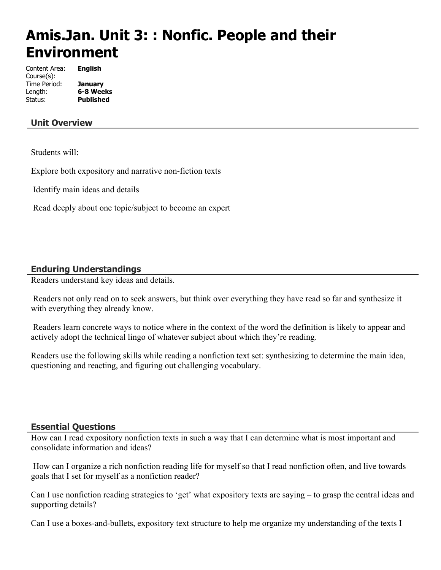# **Amis.Jan. Unit 3: : Nonfic. People and their Environment**

Content Area: **English** Course(s): Time Period: **January** Length: **6-8 Weeks** Status: **Published**

# **Unit Overview**

Students will:

Explore both expository and narrative non-fiction texts

Identify main ideas and details

Read deeply about one topic/subject to become an expert

# **Enduring Understandings**

Readers understand key ideas and details.

 Readers not only read on to seek answers, but think over everything they have read so far and synthesize it with everything they already know.

 Readers learn concrete ways to notice where in the context of the word the definition is likely to appear and actively adopt the technical lingo of whatever subject about which they're reading.

Readers use the following skills while reading a nonfiction text set: synthesizing to determine the main idea, questioning and reacting, and figuring out challenging vocabulary.

### **Essential Questions**

How can I read expository nonfiction texts in such a way that I can determine what is most important and consolidate information and ideas?

 How can I organize a rich nonfiction reading life for myself so that I read nonfiction often, and live towards goals that I set for myself as a nonfiction reader?

Can I use nonfiction reading strategies to 'get' what expository texts are saying – to grasp the central ideas and supporting details?

Can I use a boxes-and-bullets, expository text structure to help me organize my understanding of the texts I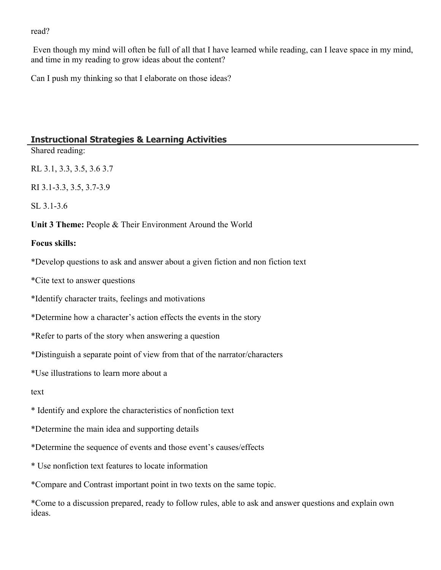#### read?

 Even though my mind will often be full of all that I have learned while reading, can I leave space in my mind, and time in my reading to grow ideas about the content?

Can I push my thinking so that I elaborate on those ideas?

# **Instructional Strategies & Learning Activities**

Shared reading:

RL 3.1, 3.3, 3.5, 3.6 3.7

RI 3.1-3.3, 3.5, 3.7-3.9

SL 3.1-3.6

**Unit 3 Theme:** People & Their Environment Around the World

### **Focus skills:**

\*Develop questions to ask and answer about a given fiction and non fiction text

\*Cite text to answer questions

\*Identify character traits, feelings and motivations

\*Determine how a character's action effects the events in the story

\*Refer to parts of the story when answering a question

\*Distinguish a separate point of view from that of the narrator/characters

\*Use illustrations to learn more about a

text

- \* Identify and explore the characteristics of nonfiction text
- \*Determine the main idea and supporting details
- \*Determine the sequence of events and those event's causes/effects
- \* Use nonfiction text features to locate information

\*Compare and Contrast important point in two texts on the same topic.

\*Come to a discussion prepared, ready to follow rules, able to ask and answer questions and explain own ideas.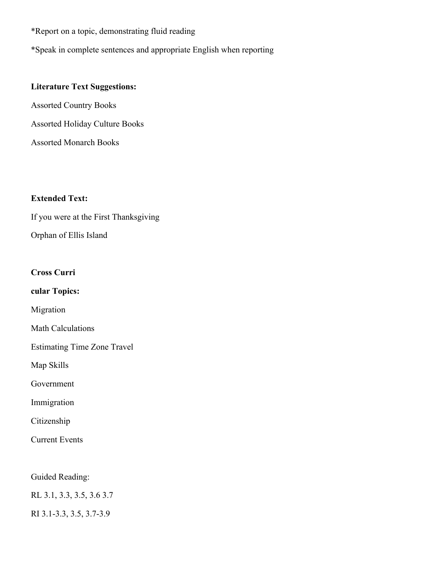\*Report on a topic, demonstrating fluid reading

\*Speak in complete sentences and appropriate English when reporting

### **Literature Text Suggestions:**

Assorted Country Books Assorted Holiday Culture Books Assorted Monarch Books

### **Extended Text:**

If you were at the First Thanksgiving Orphan of Ellis Island

#### **Cross Curri**

**cular Topics:** 

Migration

Math Calculations

Estimating Time Zone Travel

Map Skills

Government

Immigration

Citizenship

Current Events

Guided Reading:

RL 3.1, 3.3, 3.5, 3.6 3.7

RI 3.1-3.3, 3.5, 3.7-3.9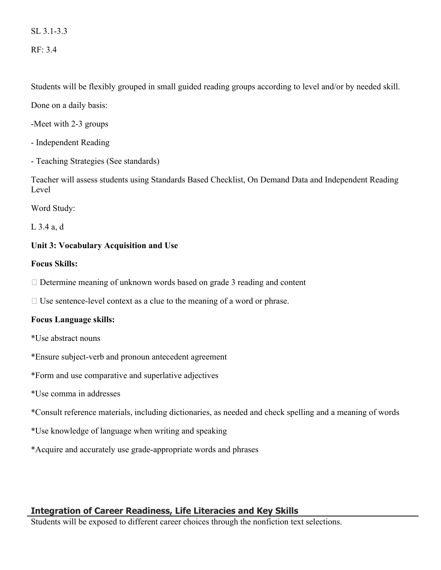SL 3.1-3.3

RF: 3.4

Students will be flexibly grouped in small guided reading groups according to level and/or by needed skill.

Done on a daily basis:

-Meet with 2-3 groups

- Independent Reading

- Teaching Strategies (See standards)

Teacher will assess students using Standards Based Checklist, On Demand Data and Independent Reading Level

Word Study:

L 3.4 a, d

# **Unit 3: Vocabulary Acquisition and Use**

### **Focus Skills:**

 $\Box$  Determine meaning of unknown words based on grade 3 reading and content

 $\Box$  Use sentence-level context as a clue to the meaning of a word or phrase.

# **Focus Language skills:**

\*Use abstract nouns

\*Ensure subject-verb and pronoun antecedent agreement

\*Form and use comparative and superlative adjectives

\*Use comma in addresses

\*Consult reference materials, including dictionaries, as needed and check spelling and a meaning of words

\*Use knowledge of language when writing and speaking

\*Acquire and accurately use grade-appropriate words and phrases

# **Integration of Career Readiness, Life Literacies and Key Skills**

Students will be exposed to different career choices through the nonfiction text selections.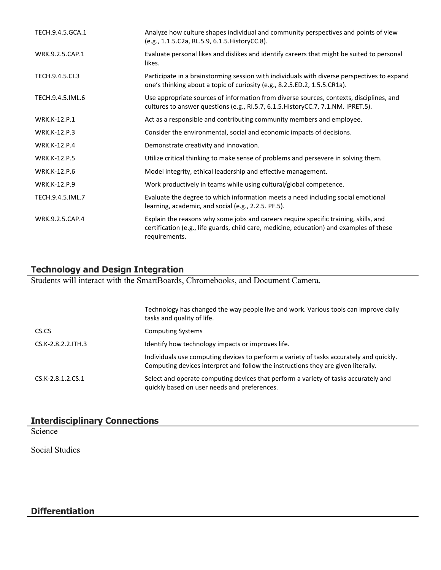| TECH.9.4.5.GCA.1    | Analyze how culture shapes individual and community perspectives and points of view<br>(e.g., 1.1.5.C2a, RL.5.9, 6.1.5. HistoryCC.8).                                                             |
|---------------------|---------------------------------------------------------------------------------------------------------------------------------------------------------------------------------------------------|
| WRK.9.2.5.CAP.1     | Evaluate personal likes and dislikes and identify careers that might be suited to personal<br>likes.                                                                                              |
| TECH.9.4.5.Cl.3     | Participate in a brainstorming session with individuals with diverse perspectives to expand<br>one's thinking about a topic of curiosity (e.g., 8.2.5.ED.2, 1.5.5.CR1a).                          |
| TECH.9.4.5.IML.6    | Use appropriate sources of information from diverse sources, contexts, disciplines, and<br>cultures to answer questions (e.g., RI.5.7, 6.1.5. HistoryCC.7, 7.1.NM. IPRET.5).                      |
| <b>WRK.K-12.P.1</b> | Act as a responsible and contributing community members and employee.                                                                                                                             |
| WRK.K-12.P.3        | Consider the environmental, social and economic impacts of decisions.                                                                                                                             |
| <b>WRK.K-12.P.4</b> | Demonstrate creativity and innovation.                                                                                                                                                            |
| <b>WRK.K-12.P.5</b> | Utilize critical thinking to make sense of problems and persevere in solving them.                                                                                                                |
| <b>WRK.K-12.P.6</b> | Model integrity, ethical leadership and effective management.                                                                                                                                     |
| WRK.K-12.P.9        | Work productively in teams while using cultural/global competence.                                                                                                                                |
| TECH.9.4.5.IML.7    | Evaluate the degree to which information meets a need including social emotional<br>learning, academic, and social (e.g., 2.2.5. PF.5).                                                           |
| WRK.9.2.5.CAP.4     | Explain the reasons why some jobs and careers require specific training, skills, and<br>certification (e.g., life guards, child care, medicine, education) and examples of these<br>requirements. |

# **Technology and Design Integration**

Students will interact with the SmartBoards, Chromebooks, and Document Camera.

|                     | Technology has changed the way people live and work. Various tools can improve daily<br>tasks and quality of life.                                                           |
|---------------------|------------------------------------------------------------------------------------------------------------------------------------------------------------------------------|
| CS.CS               | <b>Computing Systems</b>                                                                                                                                                     |
| CS.K-2.8.2.2. ITH.3 | Identify how technology impacts or improves life.                                                                                                                            |
|                     | Individuals use computing devices to perform a variety of tasks accurately and quickly.<br>Computing devices interpret and follow the instructions they are given literally. |
| CS.K-2.8.1.2.CS.1   | Select and operate computing devices that perform a variety of tasks accurately and<br>quickly based on user needs and preferences.                                          |

# **Interdisciplinary Connections**

**Science** 

Social Studies

# **Differentiation**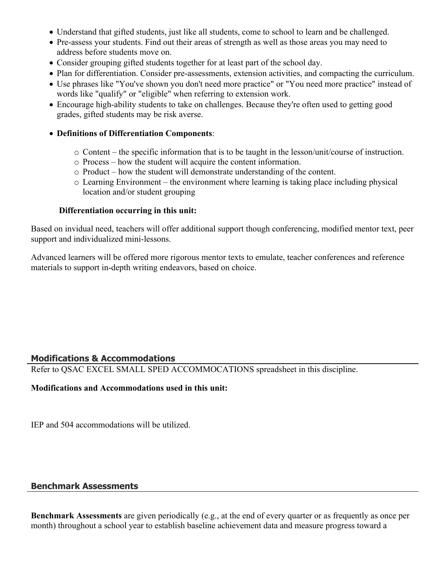- Understand that gifted students, just like all students, come to school to learn and be challenged.
- Pre-assess your students. Find out their areas of strength as well as those areas you may need to address before students move on.
- Consider grouping gifted students together for at least part of the school day.
- Plan for differentiation. Consider pre-assessments, extension activities, and compacting the curriculum.
- Use phrases like "You've shown you don't need more practice" or "You need more practice" instead of words like "qualify" or "eligible" when referring to extension work.
- Encourage high-ability students to take on challenges. Because they're often used to getting good grades, gifted students may be risk averse.

### **Definitions of Differentiation Components**:

- $\circ$  Content the specific information that is to be taught in the lesson/unit/course of instruction.
- o Process how the student will acquire the content information.
- o Product how the student will demonstrate understanding of the content.
- o Learning Environment the environment where learning is taking place including physical location and/or student grouping

### **Differentiation occurring in this unit:**

Based on invidual need, teachers will offer additional support though conferencing, modified mentor text, peer support and individualized mini-lessons.

Advanced learners will be offered more rigorous mentor texts to emulate, teacher conferences and reference materials to support in-depth writing endeavors, based on choice.

# **Modifications & Accommodations**

Refer to QSAC EXCEL SMALL SPED ACCOMMOCATIONS spreadsheet in this discipline.

### **Modifications and Accommodations used in this unit:**

IEP and 504 accommodations will be utilized.

# **Benchmark Assessments**

**Benchmark Assessments** are given periodically (e.g., at the end of every quarter or as frequently as once per month) throughout a school year to establish baseline achievement data and measure progress toward a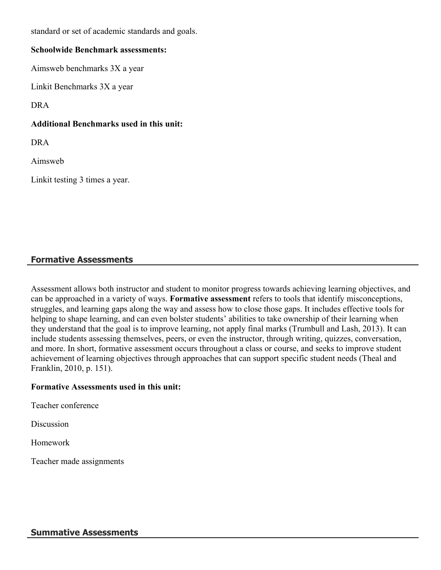standard or set of academic standards and goals.

#### **Schoolwide Benchmark assessments:**

Aimsweb benchmarks 3X a year

Linkit Benchmarks 3X a year

DRA

### **Additional Benchmarks used in this unit:**

DRA

Aimsweb

Linkit testing 3 times a year.

# **Formative Assessments**

Assessment allows both instructor and student to monitor progress towards achieving learning objectives, and can be approached in a variety of ways. **Formative assessment** refers to tools that identify misconceptions, struggles, and learning gaps along the way and assess how to close those gaps. It includes effective tools for helping to shape learning, and can even bolster students' abilities to take ownership of their learning when they understand that the goal is to improve learning, not apply final marks (Trumbull and Lash, 2013). It can include students assessing themselves, peers, or even the instructor, through writing, quizzes, conversation, and more. In short, formative assessment occurs throughout a class or course, and seeks to improve student achievement of learning objectives through approaches that can support specific student needs (Theal and Franklin, 2010, p. 151).

### **Formative Assessments used in this unit:**

Teacher conference

**Discussion** 

Homework

Teacher made assignments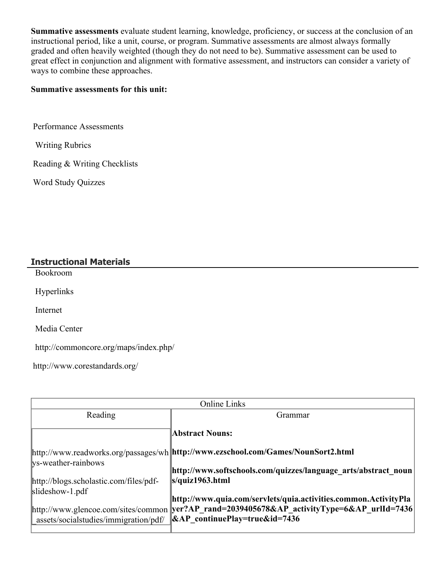**Summative assessments** evaluate student learning, knowledge, proficiency, or success at the conclusion of an instructional period, like a unit, course, or program. Summative assessments are almost always formally graded and often heavily weighted (though they do not need to be). Summative assessment can be used to great effect in conjunction and alignment with formative assessment, and instructors can consider a variety of ways to combine these approaches.

### **Summative assessments for this unit:**

Performance Assessments

Writing Rubrics

Reading & Writing Checklists

Word Study Quizzes

### **Instructional Materials**

Bookroom

Hyperlinks

Internet

Media Center

http://commoncore.org/maps/index.php/

http://www.corestandards.org/

| <b>Online Links</b>                                                                                                         |                                                                                                                                                                                                                                                                                                     |  |
|-----------------------------------------------------------------------------------------------------------------------------|-----------------------------------------------------------------------------------------------------------------------------------------------------------------------------------------------------------------------------------------------------------------------------------------------------|--|
| Reading                                                                                                                     | Grammar                                                                                                                                                                                                                                                                                             |  |
|                                                                                                                             | <b>Abstract Nouns:</b>                                                                                                                                                                                                                                                                              |  |
| ys-weather-rainbows<br>http://blogs.scholastic.com/files/pdf-<br>$slideshow-1.pdf$<br>[http://www.glencoe.com/sites/common] | http://www.readworks.org/passages/wh http://www.ezschool.com/Games/NounSort2.html<br>http://www.softschools.com/quizzes/language arts/abstract noun<br>s/quiz1963.html<br>http://www.quia.com/servlets/quia.activities.common.ActivityPla<br>yer?AP rand=2039405678&AP activityType=6&AP urlId=7436 |  |
| assets/socialstudies/immigration/pdf/                                                                                       | $\&AP$ continuePlay=true&id=7436                                                                                                                                                                                                                                                                    |  |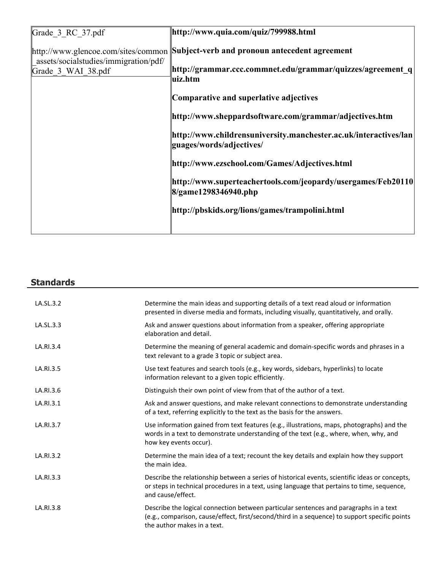| Grade 3 RC 37.pdf                                                            | http://www.quia.com/quiz/799988.html                                                         |
|------------------------------------------------------------------------------|----------------------------------------------------------------------------------------------|
| http://www.glencoe.com/sites/common<br>assets/socialstudies/immigration/pdf/ | Subject-verb and pronoun antecedent agreement                                                |
| Grade 3 WAI 38.pdf                                                           | http://grammar.ccc.commnet.edu/grammar/quizzes/agreement q<br>uiz.htm                        |
|                                                                              | Comparative and superlative adjectives                                                       |
|                                                                              | http://www.sheppardsoftware.com/grammar/adjectives.htm                                       |
|                                                                              | http://www.childrensuniversity.manchester.ac.uk/interactives/lan<br>guages/words/adjectives/ |
|                                                                              | http://www.ezschool.com/Games/Adjectives.html                                                |
|                                                                              | http://www.superteachertools.com/jeopardy/usergames/Feb20110<br>8/game1298346940.php         |
|                                                                              | http://pbskids.org/lions/games/trampolini.html                                               |
|                                                                              |                                                                                              |

# **Standards**

| LA.SL.3.2 | Determine the main ideas and supporting details of a text read aloud or information<br>presented in diverse media and formats, including visually, quantitatively, and orally.                                        |
|-----------|-----------------------------------------------------------------------------------------------------------------------------------------------------------------------------------------------------------------------|
| LA.SL.3.3 | Ask and answer questions about information from a speaker, offering appropriate<br>elaboration and detail.                                                                                                            |
| LA.RI.3.4 | Determine the meaning of general academic and domain-specific words and phrases in a<br>text relevant to a grade 3 topic or subject area.                                                                             |
| LA.RI.3.5 | Use text features and search tools (e.g., key words, sidebars, hyperlinks) to locate<br>information relevant to a given topic efficiently.                                                                            |
| LA.RI.3.6 | Distinguish their own point of view from that of the author of a text.                                                                                                                                                |
| LA.RI.3.1 | Ask and answer questions, and make relevant connections to demonstrate understanding<br>of a text, referring explicitly to the text as the basis for the answers.                                                     |
| LA.RI.3.7 | Use information gained from text features (e.g., illustrations, maps, photographs) and the<br>words in a text to demonstrate understanding of the text (e.g., where, when, why, and<br>how key events occur).         |
| LA.RI.3.2 | Determine the main idea of a text; recount the key details and explain how they support<br>the main idea.                                                                                                             |
| LA.RI.3.3 | Describe the relationship between a series of historical events, scientific ideas or concepts,<br>or steps in technical procedures in a text, using language that pertains to time, sequence,<br>and cause/effect.    |
| LA.RI.3.8 | Describe the logical connection between particular sentences and paragraphs in a text<br>(e.g., comparison, cause/effect, first/second/third in a sequence) to support specific points<br>the author makes in a text. |